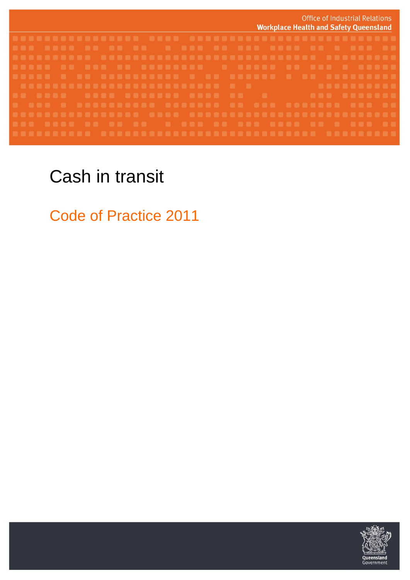

# Cash in transit

Code of Practice 2011

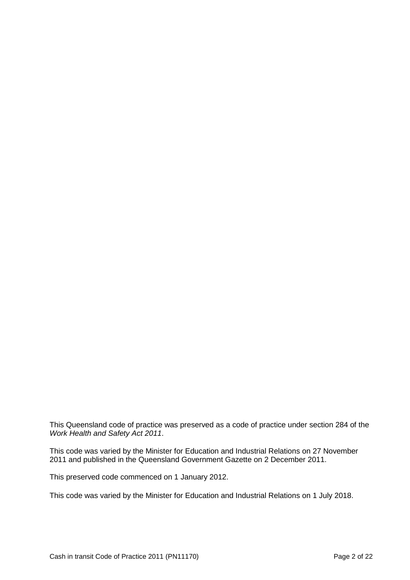This Queensland code of practice was preserved as a code of practice under section 284 of the *Work Health and Safety Act 2011*.

This code was varied by the Minister for Education and Industrial Relations on 27 November 2011 and published in the Queensland Government Gazette on 2 December 2011.

This preserved code commenced on 1 January 2012.

This code was varied by the Minister for Education and Industrial Relations on 1 July 2018.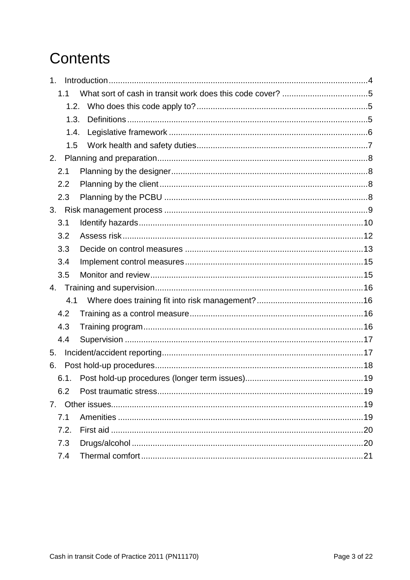# **Contents**

| 1 <sub>1</sub> |  |
|----------------|--|
| 1.1            |  |
| 1.2.           |  |
| 1.3.           |  |
| 1.4.           |  |
| 1.5            |  |
| 2.             |  |
| 2.1            |  |
| 2.2            |  |
| 2.3            |  |
|                |  |
| 3.1            |  |
| 3.2            |  |
| 3.3            |  |
| 3.4            |  |
| 3.5            |  |
| 4.             |  |
| 4.1            |  |
| 4.2            |  |
| 4.3            |  |
| 4.4            |  |
| 5.             |  |
| 6.             |  |
| 6.1.           |  |
| 6.2            |  |
|                |  |
| 7.1            |  |
| 7.2.           |  |
| 7.3            |  |
| 7.4            |  |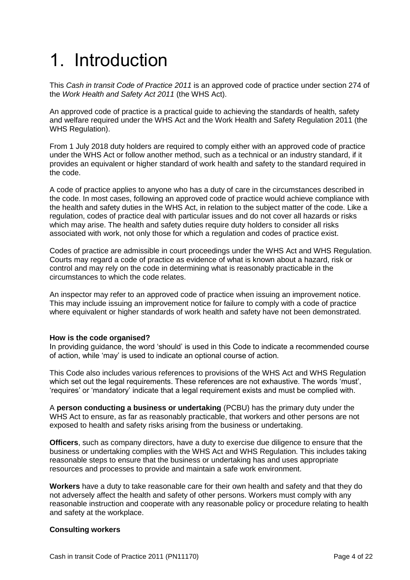# <span id="page-3-0"></span>1. Introduction

This *Cash in transit Code of Practice 2011* is an approved code of practice under section 274 of the *Work Health and Safety Act 2011* (the WHS Act).

An approved code of practice is a practical guide to achieving the standards of health, safety and welfare required under the WHS Act and the Work Health and Safety Regulation 2011 (the WHS Regulation).

From 1 July 2018 duty holders are required to comply either with an approved code of practice under the WHS Act or follow another method, such as a technical or an industry standard, if it provides an equivalent or higher standard of work health and safety to the standard required in the code.

A code of practice applies to anyone who has a duty of care in the circumstances described in the code. In most cases, following an approved code of practice would achieve compliance with the health and safety duties in the WHS Act, in relation to the subject matter of the code. Like a regulation, codes of practice deal with particular issues and do not cover all hazards or risks which may arise. The health and safety duties require duty holders to consider all risks associated with work, not only those for which a regulation and codes of practice exist.

Codes of practice are admissible in court proceedings under the WHS Act and WHS Regulation. Courts may regard a code of practice as evidence of what is known about a hazard, risk or control and may rely on the code in determining what is reasonably practicable in the circumstances to which the code relates.

An inspector may refer to an approved code of practice when issuing an improvement notice. This may include issuing an improvement notice for failure to comply with a code of practice where equivalent or higher standards of work health and safety have not been demonstrated.

## **How is the code organised?**

In providing guidance, the word 'should' is used in this Code to indicate a recommended course of action, while 'may' is used to indicate an optional course of action.

This Code also includes various references to provisions of the WHS Act and WHS Regulation which set out the legal requirements. These references are not exhaustive. The words 'must', 'requires' or 'mandatory' indicate that a legal requirement exists and must be complied with.

A **person conducting a business or undertaking** (PCBU) has the primary duty under the WHS Act to ensure, as far as reasonably practicable, that workers and other persons are not exposed to health and safety risks arising from the business or undertaking.

**Officers**, such as company directors, have a duty to exercise due diligence to ensure that the business or undertaking complies with the WHS Act and WHS Regulation. This includes taking reasonable steps to ensure that the business or undertaking has and uses appropriate resources and processes to provide and maintain a safe work environment.

**Workers** have a duty to take reasonable care for their own health and safety and that they do not adversely affect the health and safety of other persons. Workers must comply with any reasonable instruction and cooperate with any reasonable policy or procedure relating to health and safety at the workplace.

## **Consulting workers**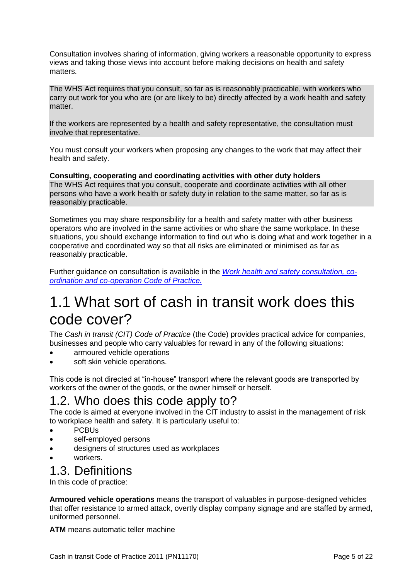Consultation involves sharing of information, giving workers a reasonable opportunity to express views and taking those views into account before making decisions on health and safety matters.

The WHS Act requires that you consult, so far as is reasonably practicable, with workers who carry out work for you who are (or are likely to be) directly affected by a work health and safety matter.

If the workers are represented by a health and safety representative, the consultation must involve that representative.

You must consult your workers when proposing any changes to the work that may affect their health and safety.

**Consulting, cooperating and coordinating activities with other duty holders**  The WHS Act requires that you consult, cooperate and coordinate activities with all other persons who have a work health or safety duty in relation to the same matter, so far as is reasonably practicable.

Sometimes you may share responsibility for a health and safety matter with other business operators who are involved in the same activities or who share the same workplace. In these situations, you should exchange information to find out who is doing what and work together in a cooperative and coordinated way so that all risks are eliminated or minimised as far as reasonably practicable.

Further guidance on consultation is available in the *[Work health and safety consultation, co](https://www.worksafe.qld.gov.au/__data/assets/pdf_file/0020/58205/WHS-consultation-coop-coord-COP-2011.pdf)[ordination and co-operation Code of Practice.](https://www.worksafe.qld.gov.au/__data/assets/pdf_file/0020/58205/WHS-consultation-coop-coord-COP-2011.pdf)*

## <span id="page-4-0"></span>1.1 What sort of cash in transit work does this code cover?

The *Cash in transit (CIT) Code of Practice* (the Code) provides practical advice for companies, businesses and people who carry valuables for reward in any of the following situations:

- armoured vehicle operations
- soft skin vehicle operations.

This code is not directed at "in-house" transport where the relevant goods are transported by workers of the owner of the goods, or the owner himself or herself.

## <span id="page-4-1"></span>1.2. Who does this code apply to?

The code is aimed at everyone involved in the CIT industry to assist in the management of risk to workplace health and safety. It is particularly useful to:

- PCBUs
- self-employed persons
- designers of structures used as workplaces
- workers.

## <span id="page-4-2"></span>1.3. Definitions

In this code of practice:

**Armoured vehicle operations** means the transport of valuables in purpose-designed vehicles that offer resistance to armed attack, overtly display company signage and are staffed by armed, uniformed personnel.

**ATM** means automatic teller machine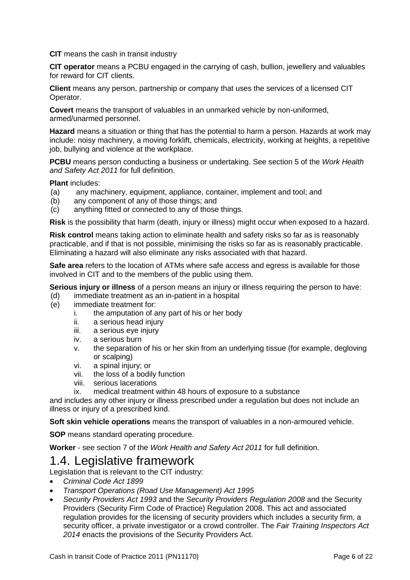**CIT** means the cash in transit industry

**CIT operator** means a PCBU engaged in the carrying of cash, bullion, jewellery and valuables for reward for CIT clients.

**Client** means any person, partnership or company that uses the services of a licensed CIT Operator.

**Covert** means the transport of valuables in an unmarked vehicle by non-uniformed, armed/unarmed personnel.

**Hazard** means a situation or thing that has the potential to harm a person. Hazards at work may include: noisy machinery, a moving forklift, chemicals, electricity, working at heights, a repetitive job, bullying and violence at the workplace.

**PCBU** means person conducting a business or undertaking. See section 5 of the *Work Health and Safety Act 2011* for full definition.

**Plant** includes:

- (a) any machinery, equipment, appliance, container, implement and tool; and
- (b) any component of any of those things; and
- (c) anything fitted or connected to any of those things.

**Risk** is the possibility that harm (death, injury or illness) might occur when exposed to a hazard.

**Risk control** means taking action to eliminate health and safety risks so far as is reasonably practicable, and if that is not possible, minimising the risks so far as is reasonably practicable. Eliminating a hazard will also eliminate any risks associated with that hazard.

**Safe area** refers to the location of ATMs where safe access and egress is available for those involved in CIT and to the members of the public using them.

**Serious injury or illness** of a person means an injury or illness requiring the person to have:

- (d) immediate treatment as an in-patient in a hospital
- (e) immediate treatment for:
	- i. the amputation of any part of his or her body
	- ii. a serious head injury
	- iii. a serious eye injury
	- iv. a serious burn
	- v. the separation of his or her skin from an underlying tissue (for example, degloving or scalping)
	- vi. a spinal injury; or
	- vii. the loss of a bodily function
	- viii. serious lacerations
	- ix. medical treatment within 48 hours of exposure to a substance

and includes any other injury or illness prescribed under a regulation but does not include an illness or injury of a prescribed kind.

**Soft skin vehicle operations** means the transport of valuables in a non-armoured vehicle.

**SOP** means standard operating procedure.

**Worker** - see section 7 of the *Work Health and Safety Act 2011* for full definition.

## <span id="page-5-0"></span>1.4. Legislative framework

Legislation that is relevant to the CIT industry:

- *Criminal Code Act 1899*
- *Transport Operations (Road Use Management) Act 1995*
- *Security Providers Act 1993* and the *Security Providers Regulation 2008* and the Security Providers (Security Firm Code of Practice) Regulation 2008. This act and associated regulation provides for the licensing of security providers which includes a security firm, a security officer, a private investigator or a crowd controller. The *Fair Training Inspectors Act 2014* enacts the provisions of the Security Providers Act.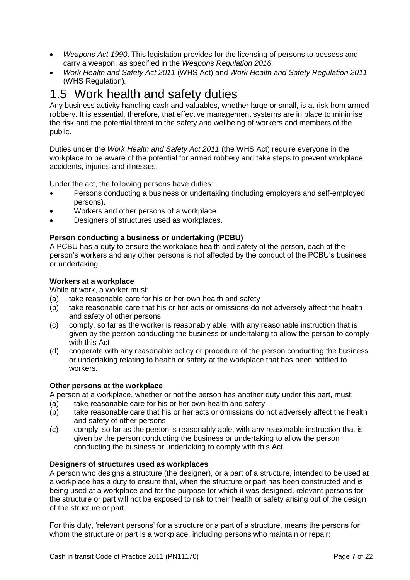- *Weapons Act 1990*. This legislation provides for the licensing of persons to possess and carry a weapon, as specified in the *Weapons Regulation 2016.*
- *Work Health and Safety Act 2011* (WHS Act) and *Work Health and Safety Regulation 2011* (WHS Regulation)*.*

## <span id="page-6-0"></span>1.5 Work health and safety duties

Any business activity handling cash and valuables, whether large or small, is at risk from armed robbery. It is essential, therefore, that effective management systems are in place to minimise the risk and the potential threat to the safety and wellbeing of workers and members of the public.

Duties under the *Work Health and Safety Act 2011* (the WHS Act) require everyone in the workplace to be aware of the potential for armed robbery and take steps to prevent workplace accidents, injuries and illnesses.

Under the act, the following persons have duties:

- Persons conducting a business or undertaking (including employers and self-employed persons).
- Workers and other persons of a workplace.
- Designers of structures used as workplaces.

## **Person conducting a business or undertaking (PCBU)**

A PCBU has a duty to ensure the workplace health and safety of the person, each of the person's workers and any other persons is not affected by the conduct of the PCBU's business or undertaking.

### **Workers at a workplace**

While at work, a worker must:

- (a) take reasonable care for his or her own health and safety
- (b) take reasonable care that his or her acts or omissions do not adversely affect the health and safety of other persons
- (c) comply, so far as the worker is reasonably able, with any reasonable instruction that is given by the person conducting the business or undertaking to allow the person to comply with this Act
- (d) cooperate with any reasonable policy or procedure of the person conducting the business or undertaking relating to health or safety at the workplace that has been notified to workers.

## **Other persons at the workplace**

A person at a workplace, whether or not the person has another duty under this part, must:

- (a) take reasonable care for his or her own health and safety
- (b) take reasonable care that his or her acts or omissions do not adversely affect the health and safety of other persons
- (c) comply, so far as the person is reasonably able, with any reasonable instruction that is given by the person conducting the business or undertaking to allow the person conducting the business or undertaking to comply with this Act.

## **Designers of structures used as workplaces**

A person who designs a structure (the designer), or a part of a structure, intended to be used at a workplace has a duty to ensure that, when the structure or part has been constructed and is being used at a workplace and for the purpose for which it was designed, relevant persons for the structure or part will not be exposed to risk to their health or safety arising out of the design of the structure or part.

For this duty, 'relevant persons' for a structure or a part of a structure, means the persons for whom the structure or part is a workplace, including persons who maintain or repair: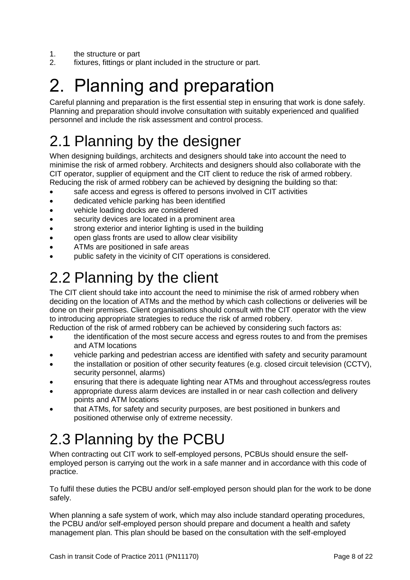- 1. the structure or part
- 2. fixtures, fittings or plant included in the structure or part.

# <span id="page-7-0"></span>2. Planning and preparation

Careful planning and preparation is the first essential step in ensuring that work is done safely. Planning and preparation should involve consultation with suitably experienced and qualified personnel and include the risk assessment and control process.

# <span id="page-7-1"></span>2.1 Planning by the designer

When designing buildings, architects and designers should take into account the need to minimise the risk of armed robbery. Architects and designers should also collaborate with the CIT operator, supplier of equipment and the CIT client to reduce the risk of armed robbery. Reducing the risk of armed robbery can be achieved by designing the building so that:

- safe access and egress is offered to persons involved in CIT activities
- dedicated vehicle parking has been identified
- vehicle loading docks are considered
- security devices are located in a prominent area
- strong exterior and interior lighting is used in the building
- open glass fronts are used to allow clear visibility
- ATMs are positioned in safe areas
- public safety in the vicinity of CIT operations is considered.

## <span id="page-7-2"></span>2.2 Planning by the client

The CIT client should take into account the need to minimise the risk of armed robbery when deciding on the location of ATMs and the method by which cash collections or deliveries will be done on their premises. Client organisations should consult with the CIT operator with the view to introducing appropriate strategies to reduce the risk of armed robbery.

Reduction of the risk of armed robbery can be achieved by considering such factors as:

- the identification of the most secure access and egress routes to and from the premises and ATM locations
- vehicle parking and pedestrian access are identified with safety and security paramount
- the installation or position of other security features (e.g. closed circuit television (CCTV), security personnel, alarms)
- ensuring that there is adequate lighting near ATMs and throughout access/egress routes
- appropriate duress alarm devices are installed in or near cash collection and delivery points and ATM locations
- that ATMs, for safety and security purposes, are best positioned in bunkers and positioned otherwise only of extreme necessity.

# <span id="page-7-3"></span>2.3 Planning by the PCBU

When contracting out CIT work to self-employed persons, PCBUs should ensure the selfemployed person is carrying out the work in a safe manner and in accordance with this code of practice.

To fulfil these duties the PCBU and/or self-employed person should plan for the work to be done safely.

When planning a safe system of work, which may also include standard operating procedures, the PCBU and/or self-employed person should prepare and document a health and safety management plan. This plan should be based on the consultation with the self-employed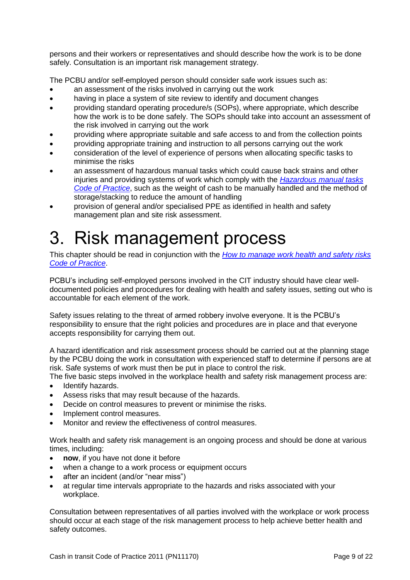persons and their workers or representatives and should describe how the work is to be done safely. Consultation is an important risk management strategy.

The PCBU and/or self-employed person should consider safe work issues such as:

- an assessment of the risks involved in carrying out the work
- having in place a system of site review to identify and document changes
- providing standard operating procedure/s (SOPs), where appropriate, which describe how the work is to be done safely. The SOPs should take into account an assessment of the risk involved in carrying out the work
- providing where appropriate suitable and safe access to and from the collection points
- providing appropriate training and instruction to all persons carrying out the work
- consideration of the level of experience of persons when allocating specific tasks to minimise the risks
- an assessment of hazardous manual tasks which could cause back strains and other injuries and providing systems of work which comply with the *Hazardous [manual tasks](https://www.worksafe.qld.gov.au/__data/assets/pdf_file/0008/58166/Hazardous-manual-tasks-COP-2011.pdf)  [Code of Practice](https://www.worksafe.qld.gov.au/__data/assets/pdf_file/0008/58166/Hazardous-manual-tasks-COP-2011.pdf)*, such as the weight of cash to be manually handled and the method of storage/stacking to reduce the amount of handling
- provision of general and/or specialised PPE as identified in health and safety management plan and site risk assessment.

# <span id="page-8-0"></span>3. Risk management process

This chapter should be read in conjunction with the *[How to manage work health and safety risks](https://www.worksafe.qld.gov.au/__data/assets/pdf_file/0003/58170/Manage-WHS-risks-COP-2011.pdf) [Code of Practice](https://www.worksafe.qld.gov.au/__data/assets/pdf_file/0003/58170/Manage-WHS-risks-COP-2011.pdf)*.

PCBU's including self-employed persons involved in the CIT industry should have clear welldocumented policies and procedures for dealing with health and safety issues, setting out who is accountable for each element of the work.

Safety issues relating to the threat of armed robbery involve everyone. It is the PCBU's responsibility to ensure that the right policies and procedures are in place and that everyone accepts responsibility for carrying them out.

A hazard identification and risk assessment process should be carried out at the planning stage by the PCBU doing the work in consultation with experienced staff to determine if persons are at risk. Safe systems of work must then be put in place to control the risk.

The five basic steps involved in the workplace health and safety risk management process are:

- Identify hazards.
- Assess risks that may result because of the hazards.
- Decide on control measures to prevent or minimise the risks.
- Implement control measures.
- Monitor and review the effectiveness of control measures.

Work health and safety risk management is an ongoing process and should be done at various times, including:

- **now**, if you have not done it before
- when a change to a work process or equipment occurs
- after an incident (and/or "near miss")
- at regular time intervals appropriate to the hazards and risks associated with your workplace.

Consultation between representatives of all parties involved with the workplace or work process should occur at each stage of the risk management process to help achieve better health and safety outcomes.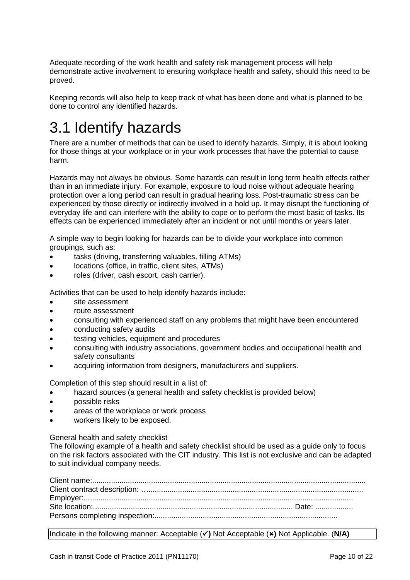Adequate recording of the work health and safety risk management process will help demonstrate active involvement to ensuring workplace health and safety, should this need to be proved.

Keeping records will also help to keep track of what has been done and what is planned to be done to control any identified hazards.

# <span id="page-9-0"></span>3.1 Identify hazards

There are a number of methods that can be used to identify hazards. Simply, it is about looking for those things at your workplace or in your work processes that have the potential to cause harm.

Hazards may not always be obvious. Some hazards can result in long term health effects rather than in an immediate injury. For example, exposure to loud noise without adequate hearing protection over a long period can result in gradual hearing loss. Post-traumatic stress can be experienced by those directly or indirectly involved in a hold up. It may disrupt the functioning of everyday life and can interfere with the ability to cope or to perform the most basic of tasks. Its effects can be experienced immediately after an incident or not until months or years later.

A simple way to begin looking for hazards can be to divide your workplace into common groupings, such as:

- tasks (driving, transferring valuables, filling ATMs)
- locations (office, in traffic, client sites, ATMs)
- roles (driver, cash escort, cash carrier).

Activities that can be used to help identify hazards include:

- site assessment
- route assessment
- consulting with experienced staff on any problems that might have been encountered
- conducting safety audits
- testing vehicles, equipment and procedures
- consulting with industry associations, government bodies and occupational health and safety consultants
- acquiring information from designers, manufacturers and suppliers.

Completion of this step should result in a list of:

- hazard sources (a general health and safety checklist is provided below)
- possible risks
- areas of the workplace or work process
- workers likely to be exposed.

General health and safety checklist

The following example of a health and safety checklist should be used as a guide only to focus on the risk factors associated with the CIT industry. This list is not exclusive and can be adapted to suit individual company needs.

Client name:.................................................................................................................................. Client contract description: …...................................................................................................... Employer:................................................................................................................................ Site location:............................................................................................... Date: .................. Persons completing inspection:.......................................................................................

Indicate in the following manner: Acceptable (**)** Not Acceptable (**)** Not Applicable. (**N/A)**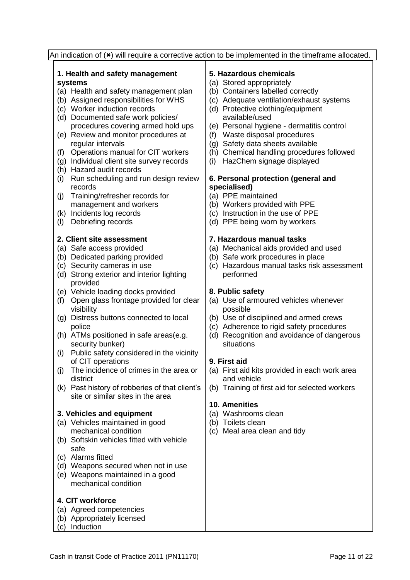|                                                 |  | An indication of $(*)$ will require a corrective action to be implemented in the timeframe allocated. |  |  |
|-------------------------------------------------|--|-------------------------------------------------------------------------------------------------------|--|--|
| 1. Health and safety management                 |  | 5. Hazardous chemicals                                                                                |  |  |
| systems                                         |  | (a) Stored appropriately                                                                              |  |  |
| (a) Health and safety management plan           |  | (b) Containers labelled correctly                                                                     |  |  |
| (b) Assigned responsibilities for WHS           |  | (c) Adequate ventilation/exhaust systems                                                              |  |  |
| (c) Worker induction records                    |  | (d) Protective clothing/equipment                                                                     |  |  |
| (d) Documented safe work policies/              |  | available/used                                                                                        |  |  |
| procedures covering armed hold ups              |  | (e) Personal hygiene - dermatitis control                                                             |  |  |
| (e) Review and monitor procedures at            |  | Waste disposal procedures<br>(f)                                                                      |  |  |
| regular intervals                               |  | Safety data sheets available                                                                          |  |  |
| Operations manual for CIT workers               |  | (g)<br>(h) Chemical handling procedures followed                                                      |  |  |
| (f)                                             |  |                                                                                                       |  |  |
| (g) Individual client site survey records       |  | HazChem signage displayed<br>(i)                                                                      |  |  |
| (h) Hazard audit records                        |  |                                                                                                       |  |  |
| Run scheduling and run design review<br>(i)     |  | 6. Personal protection (general and                                                                   |  |  |
| records                                         |  | specialised)                                                                                          |  |  |
| Training/refresher records for<br>(j)           |  | (a) PPE maintained                                                                                    |  |  |
| management and workers                          |  | (b) Workers provided with PPE                                                                         |  |  |
| Incidents log records<br>(k)                    |  | (c) Instruction in the use of PPE                                                                     |  |  |
| Debriefing records<br>(1)                       |  | (d) PPE being worn by workers                                                                         |  |  |
|                                                 |  |                                                                                                       |  |  |
| 2. Client site assessment                       |  | 7. Hazardous manual tasks                                                                             |  |  |
| (a) Safe access provided                        |  | (a) Mechanical aids provided and used                                                                 |  |  |
| (b) Dedicated parking provided                  |  | (b) Safe work procedures in place                                                                     |  |  |
| (c) Security cameras in use                     |  | Hazardous manual tasks risk assessment<br>(c)                                                         |  |  |
| (d) Strong exterior and interior lighting       |  | performed                                                                                             |  |  |
| provided                                        |  |                                                                                                       |  |  |
| (e) Vehicle loading docks provided              |  | 8. Public safety                                                                                      |  |  |
| Open glass frontage provided for clear<br>(f)   |  | (a) Use of armoured vehicles whenever                                                                 |  |  |
| visibility                                      |  | possible                                                                                              |  |  |
| (g) Distress buttons connected to local         |  | (b) Use of disciplined and armed crews                                                                |  |  |
| police                                          |  | (c) Adherence to rigid safety procedures                                                              |  |  |
| (h) ATMs positioned in safe areas(e.g.          |  | (d) Recognition and avoidance of dangerous                                                            |  |  |
| security bunker)                                |  | situations                                                                                            |  |  |
| Public safety considered in the vicinity<br>(i) |  |                                                                                                       |  |  |
| of CIT operations                               |  | 9. First aid                                                                                          |  |  |
| The incidence of crimes in the area or<br>(i)   |  | (a) First aid kits provided in each work area                                                         |  |  |
| district                                        |  | and vehicle                                                                                           |  |  |
| (k) Past history of robberies of that client's  |  | (b) Training of first aid for selected workers                                                        |  |  |
| site or similar sites in the area               |  |                                                                                                       |  |  |
|                                                 |  | <b>10. Amenities</b>                                                                                  |  |  |
| 3. Vehicles and equipment                       |  | (a) Washrooms clean                                                                                   |  |  |
| (a) Vehicles maintained in good                 |  | (b) Toilets clean                                                                                     |  |  |
| mechanical condition                            |  | (c) Meal area clean and tidy                                                                          |  |  |
| (b) Softskin vehicles fitted with vehicle       |  |                                                                                                       |  |  |
| safe                                            |  |                                                                                                       |  |  |
| (c) Alarms fitted                               |  |                                                                                                       |  |  |
| (d) Weapons secured when not in use             |  |                                                                                                       |  |  |
| (e) Weapons maintained in a good                |  |                                                                                                       |  |  |
| mechanical condition                            |  |                                                                                                       |  |  |
|                                                 |  |                                                                                                       |  |  |
| 4. CIT workforce                                |  |                                                                                                       |  |  |
| (a) Agreed competencies                         |  |                                                                                                       |  |  |
| (b) Appropriately licensed                      |  |                                                                                                       |  |  |
| (c) Induction                                   |  |                                                                                                       |  |  |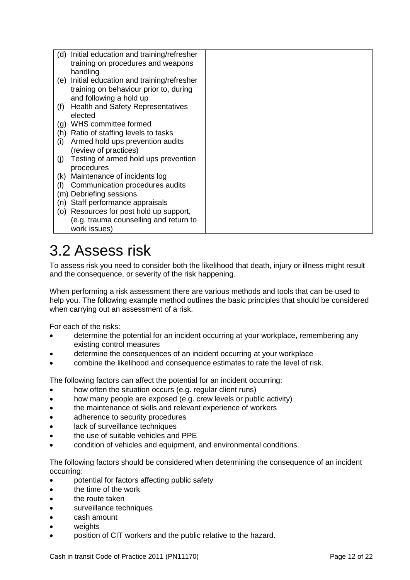| Initial education and training/refresher<br>(d) |  |
|-------------------------------------------------|--|
| training on procedures and weapons              |  |
| handling                                        |  |
| Initial education and training/refresher<br>(e) |  |
| training on behaviour prior to, during          |  |
| and following a hold up                         |  |
| <b>Health and Safety Representatives</b><br>(f) |  |
| elected                                         |  |
| WHS committee formed<br>(g)                     |  |
| Ratio of staffing levels to tasks<br>(h)        |  |
| Armed hold ups prevention audits<br>(i)         |  |
| (review of practices)                           |  |
| Testing of armed hold ups prevention<br>(j)     |  |
| procedures                                      |  |
| Maintenance of incidents log<br>(k)             |  |
| Communication procedures audits<br>(1)          |  |
| (m) Debriefing sessions                         |  |
| Staff performance appraisals<br>(n)             |  |
| Resources for post hold up support,<br>(O)      |  |
| (e.g. trauma counselling and return to          |  |
| work issues)                                    |  |

# <span id="page-11-0"></span>3.2 Assess risk

To assess risk you need to consider both the likelihood that death, injury or illness might result and the consequence, or severity of the risk happening.

When performing a risk assessment there are various methods and tools that can be used to help you. The following example method outlines the basic principles that should be considered when carrying out an assessment of a risk.

For each of the risks:

- determine the potential for an incident occurring at your workplace, remembering any existing control measures
- determine the consequences of an incident occurring at your workplace
- combine the likelihood and consequence estimates to rate the level of risk.

The following factors can affect the potential for an incident occurring:

- how often the situation occurs (e.g. regular client runs)
- how many people are exposed (e.g. crew levels or public activity)
- the maintenance of skills and relevant experience of workers
- adherence to security procedures
- lack of surveillance techniques
- the use of suitable vehicles and PPE
- condition of vehicles and equipment, and environmental conditions.

The following factors should be considered when determining the consequence of an incident occurring:

- potential for factors affecting public safety
- the time of the work
- the route taken
- surveillance techniques
- cash amount
- weights
- position of CIT workers and the public relative to the hazard.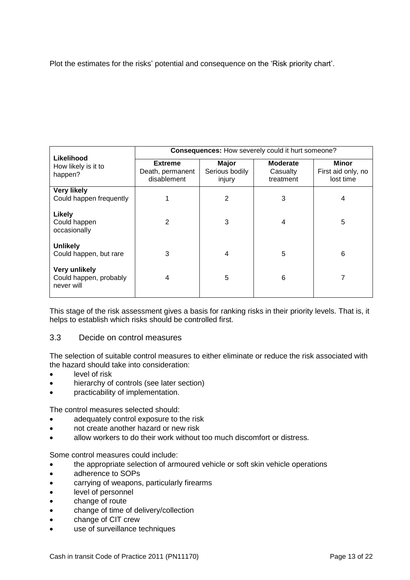Plot the estimates for the risks' potential and consequence on the 'Risk priority chart'.

| Likelihood                                                   | <b>Consequences:</b> How severely could it hurt someone? |                                   |                                          |                                          |  |
|--------------------------------------------------------------|----------------------------------------------------------|-----------------------------------|------------------------------------------|------------------------------------------|--|
| How likely is it to<br>happen?                               | <b>Extreme</b><br>Death, permanent<br>disablement        | Major<br>Serious bodily<br>injury | <b>Moderate</b><br>Casualty<br>treatment | Minor<br>First aid only, no<br>lost time |  |
| <b>Very likely</b><br>Could happen frequently                |                                                          | 2                                 | 3                                        | 4                                        |  |
| <b>Likely</b><br>Could happen<br>occasionally                | 2                                                        | 3                                 | 4                                        | 5                                        |  |
| <b>Unlikely</b><br>Could happen, but rare                    | 3                                                        | 4                                 | 5                                        | 6                                        |  |
| <b>Very unlikely</b><br>Could happen, probably<br>never will | 4                                                        | 5                                 | 6                                        | 7                                        |  |

This stage of the risk assessment gives a basis for ranking risks in their priority levels. That is, it helps to establish which risks should be controlled first.

## <span id="page-12-0"></span>3.3 Decide on control measures

The selection of suitable control measures to either eliminate or reduce the risk associated with the hazard should take into consideration:

- level of risk
- hierarchy of controls (see later section)
- practicability of implementation.

The control measures selected should:

- adequately control exposure to the risk
- not create another hazard or new risk
- allow workers to do their work without too much discomfort or distress.

Some control measures could include:

- the appropriate selection of armoured vehicle or soft skin vehicle operations
- adherence to SOPs
- carrying of weapons, particularly firearms
- level of personnel
- change of route
- change of time of delivery/collection
- change of CIT crew
- use of surveillance techniques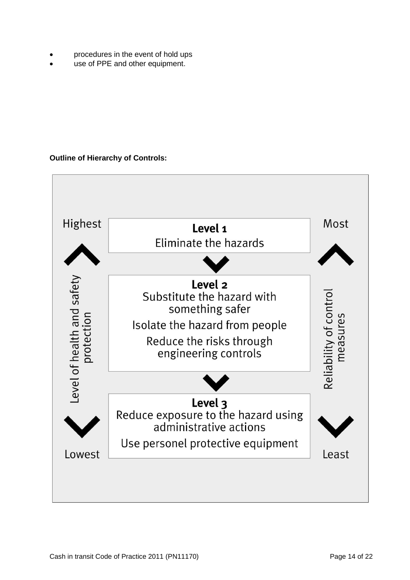- procedures in the event of hold ups
- use of PPE and other equipment.

## **Outline of Hierarchy of Controls:**

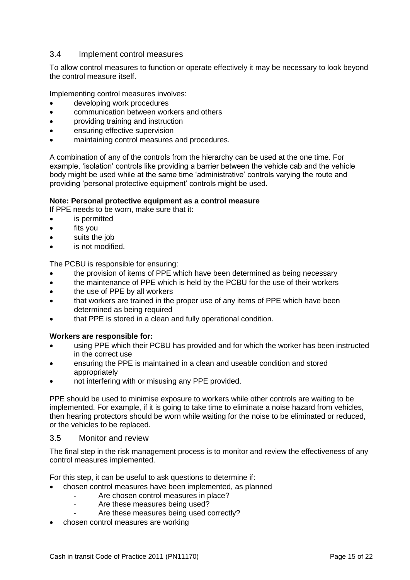## <span id="page-14-0"></span>3.4 Implement control measures

To allow control measures to function or operate effectively it may be necessary to look beyond the control measure itself.

Implementing control measures involves:

- developing work procedures
- communication between workers and others
- providing training and instruction
- ensuring effective supervision
- maintaining control measures and procedures.

A combination of any of the controls from the hierarchy can be used at the one time. For example, 'isolation' controls like providing a barrier between the vehicle cab and the vehicle body might be used while at the same time 'administrative' controls varying the route and providing 'personal protective equipment' controls might be used.

### **Note: Personal protective equipment as a control measure**

If PPE needs to be worn, make sure that it:

- is permitted
- fits you
- suits the job
- is not modified.

The PCBU is responsible for ensuring:

- the provision of items of PPE which have been determined as being necessary
- the maintenance of PPE which is held by the PCBU for the use of their workers
- the use of PPE by all workers
- that workers are trained in the proper use of any items of PPE which have been determined as being required
- that PPE is stored in a clean and fully operational condition.

#### **Workers are responsible for:**

- using PPE which their PCBU has provided and for which the worker has been instructed in the correct use
- ensuring the PPE is maintained in a clean and useable condition and stored appropriately
- not interfering with or misusing any PPE provided.

PPE should be used to minimise exposure to workers while other controls are waiting to be implemented. For example, if it is going to take time to eliminate a noise hazard from vehicles, then hearing protectors should be worn while waiting for the noise to be eliminated or reduced, or the vehicles to be replaced.

#### <span id="page-14-1"></span>3.5 Monitor and review

The final step in the risk management process is to monitor and review the effectiveness of any control measures implemented.

For this step, it can be useful to ask questions to determine if:

- chosen control measures have been implemented, as planned
	- Are chosen control measures in place?
	- Are these measures being used?
		- Are these measures being used correctly?
- chosen control measures are working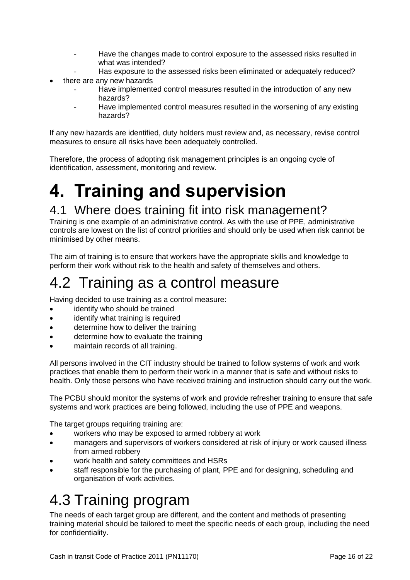- Have the changes made to control exposure to the assessed risks resulted in what was intended?
- Has exposure to the assessed risks been eliminated or adequately reduced?
- there are any new hazards
	- Have implemented control measures resulted in the introduction of any new hazards?
	- Have implemented control measures resulted in the worsening of any existing hazards?

If any new hazards are identified, duty holders must review and, as necessary, revise control measures to ensure all risks have been adequately controlled.

Therefore, the process of adopting risk management principles is an ongoing cycle of identification, assessment, monitoring and review.

# <span id="page-15-0"></span>**4. Training and supervision**

## <span id="page-15-1"></span>4.1 Where does training fit into risk management?

Training is one example of an administrative control. As with the use of PPE, administrative controls are lowest on the list of control priorities and should only be used when risk cannot be minimised by other means.

The aim of training is to ensure that workers have the appropriate skills and knowledge to perform their work without risk to the health and safety of themselves and others.

## <span id="page-15-2"></span>4.2 Training as a control measure

Having decided to use training as a control measure:

- identify who should be trained
- identify what training is required
- determine how to deliver the training
- determine how to evaluate the training
- maintain records of all training.

All persons involved in the CIT industry should be trained to follow systems of work and work practices that enable them to perform their work in a manner that is safe and without risks to health. Only those persons who have received training and instruction should carry out the work.

The PCBU should monitor the systems of work and provide refresher training to ensure that safe systems and work practices are being followed, including the use of PPE and weapons.

The target groups requiring training are:

- workers who may be exposed to armed robbery at work
- managers and supervisors of workers considered at risk of injury or work caused illness from armed robbery
- work health and safety committees and HSRs
- staff responsible for the purchasing of plant, PPE and for designing, scheduling and organisation of work activities.

## <span id="page-15-3"></span>4.3 Training program

The needs of each target group are different, and the content and methods of presenting training material should be tailored to meet the specific needs of each group, including the need for confidentiality.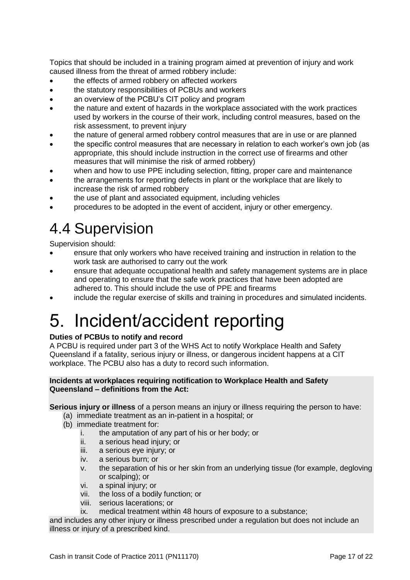Topics that should be included in a training program aimed at prevention of injury and work caused illness from the threat of armed robbery include:

- the effects of armed robbery on affected workers
- the statutory responsibilities of PCBUs and workers
- an overview of the PCBU's CIT policy and program
- the nature and extent of hazards in the workplace associated with the work practices used by workers in the course of their work, including control measures, based on the risk assessment, to prevent injury
- the nature of general armed robbery control measures that are in use or are planned
- the specific control measures that are necessary in relation to each worker's own job (as appropriate, this should include instruction in the correct use of firearms and other measures that will minimise the risk of armed robbery)
- when and how to use PPE including selection, fitting, proper care and maintenance
- the arrangements for reporting defects in plant or the workplace that are likely to increase the risk of armed robbery
- the use of plant and associated equipment, including vehicles
- procedures to be adopted in the event of accident, injury or other emergency.

## <span id="page-16-0"></span>4.4 Supervision

Supervision should:

- ensure that only workers who have received training and instruction in relation to the work task are authorised to carry out the work
- ensure that adequate occupational health and safety management systems are in place and operating to ensure that the safe work practices that have been adopted are adhered to. This should include the use of PPE and firearms
- <span id="page-16-1"></span>include the regular exercise of skills and training in procedures and simulated incidents.

# 5. Incident/accident reporting

## **Duties of PCBUs to notify and record**

A PCBU is required under part 3 of the WHS Act to notify Workplace Health and Safety Queensland if a fatality, serious injury or illness, or dangerous incident happens at a CIT workplace. The PCBU also has a duty to record such information.

### **Incidents at workplaces requiring notification to Workplace Health and Safety Queensland – definitions from the Act:**

**Serious injury or illness** of a person means an injury or illness requiring the person to have:

- (a) immediate treatment as an in-patient in a hospital; or
- (b) immediate treatment for:
	- i. the amputation of any part of his or her body; or
	- ii. a serious head injury; or<br>iii. a serious eve injury; or
	- a serious eye injury; or
	- iv. a serious burn; or
	- v. the separation of his or her skin from an underlying tissue (for example, degloving or scalping); or
	- vi. a spinal injury; or
	- vii. the loss of a bodily function; or
	- viii. serious lacerations; or
	- ix. medical treatment within 48 hours of exposure to a substance;

and includes any other injury or illness prescribed under a regulation but does not include an illness or injury of a prescribed kind.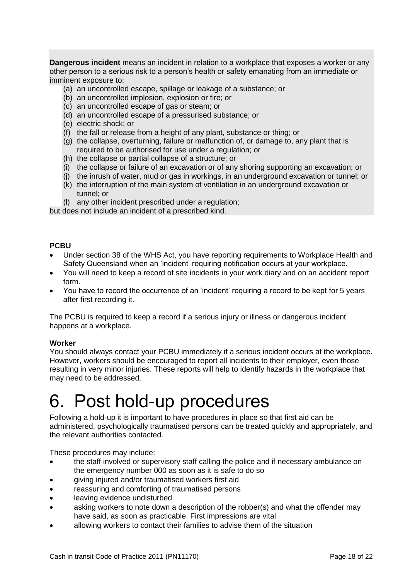**Dangerous incident** means an incident in relation to a workplace that exposes a worker or any other person to a serious risk to a person's health or safety emanating from an immediate or imminent exposure to:

- (a) an uncontrolled escape, spillage or leakage of a substance; or
- (b) an uncontrolled implosion, explosion or fire; or
- (c) an uncontrolled escape of gas or steam; or
- (d) an uncontrolled escape of a pressurised substance; or
- (e) electric shock; or
- (f) the fall or release from a height of any plant, substance or thing; or
- (g) the collapse, overturning, failure or malfunction of, or damage to, any plant that is required to be authorised for use under a regulation; or
- (h) the collapse or partial collapse of a structure; or
- (i) the collapse or failure of an excavation or of any shoring supporting an excavation; or
- (j) the inrush of water, mud or gas in workings, in an underground excavation or tunnel; or
- (k) the interruption of the main system of ventilation in an underground excavation or tunnel; or
- (l) any other incident prescribed under a regulation;

but does not include an incident of a prescribed kind.

## **PCBU**

- Under section 38 of the WHS Act, you have reporting requirements to Workplace Health and Safety Queensland when an 'incident' requiring notification occurs at your workplace.
- You will need to keep a record of site incidents in your work diary and on an accident report form.
- You have to record the occurrence of an 'incident' requiring a record to be kept for 5 years after first recording it.

The PCBU is required to keep a record if a serious injury or illness or dangerous incident happens at a workplace.

## **Worker**

You should always contact your PCBU immediately if a serious incident occurs at the workplace. However, workers should be encouraged to report all incidents to their employer, even those resulting in very minor injuries. These reports will help to identify hazards in the workplace that may need to be addressed.

# <span id="page-17-0"></span>6. Post hold-up procedures

Following a hold-up it is important to have procedures in place so that first aid can be administered, psychologically traumatised persons can be treated quickly and appropriately, and the relevant authorities contacted.

These procedures may include:

- the staff involved or supervisory staff calling the police and if necessary ambulance on the emergency number 000 as soon as it is safe to do so
- giving injured and/or traumatised workers first aid
- reassuring and comforting of traumatised persons
- leaving evidence undisturbed
- asking workers to note down a description of the robber(s) and what the offender may have said, as soon as practicable. First impressions are vital
- allowing workers to contact their families to advise them of the situation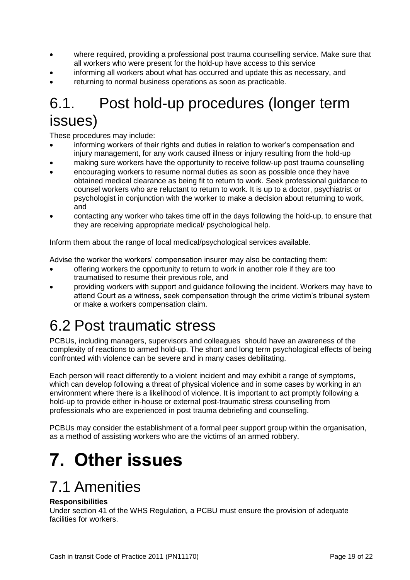- where required, providing a professional post trauma counselling service. Make sure that all workers who were present for the hold-up have access to this service
- informing all workers about what has occurred and update this as necessary, and
- <span id="page-18-0"></span>returning to normal business operations as soon as practicable.

## 6.1. Post hold-up procedures (longer term issues)

These procedures may include:

- informing workers of their rights and duties in relation to worker's compensation and injury management, for any work caused illness or injury resulting from the hold-up
- making sure workers have the opportunity to receive follow-up post trauma counselling
- encouraging workers to resume normal duties as soon as possible once they have obtained medical clearance as being fit to return to work. Seek professional guidance to counsel workers who are reluctant to return to work. It is up to a doctor, psychiatrist or psychologist in conjunction with the worker to make a decision about returning to work, and
- contacting any worker who takes time off in the days following the hold-up, to ensure that they are receiving appropriate medical/ psychological help.

Inform them about the range of local medical/psychological services available.

Advise the worker the workers' compensation insurer may also be contacting them:

- offering workers the opportunity to return to work in another role if they are too traumatised to resume their previous role, and
- providing workers with support and guidance following the incident. Workers may have to attend Court as a witness, seek compensation through the crime victim's tribunal system or make a workers compensation claim.

## <span id="page-18-1"></span>6.2 Post traumatic stress

PCBUs, including managers, supervisors and colleagues should have an awareness of the complexity of reactions to armed hold-up. The short and long term psychological effects of being confronted with violence can be severe and in many cases debilitating.

Each person will react differently to a violent incident and may exhibit a range of symptoms, which can develop following a threat of physical violence and in some cases by working in an environment where there is a likelihood of violence. It is important to act promptly following a hold-up to provide either in-house or external post-traumatic stress counselling from professionals who are experienced in post trauma debriefing and counselling.

PCBUs may consider the establishment of a formal peer support group within the organisation, as a method of assisting workers who are the victims of an armed robbery.

# <span id="page-18-2"></span>**7. Other issues**

## <span id="page-18-3"></span>7.1 Amenities

## **Responsibilities**

Under section 41 of the WHS Regulation*,* a PCBU must ensure the provision of adequate facilities for workers.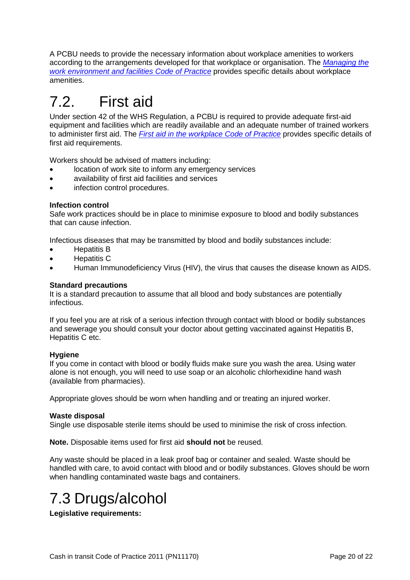A PCBU needs to provide the necessary information about workplace amenities to workers according to the arrangements developed for that workplace or organisation. The *[Managing the](https://www.worksafe.qld.gov.au/__data/assets/pdf_file/0003/58206/Work-environment-facilities-COP-2013.pdf)  [work environment and facilities](https://www.worksafe.qld.gov.au/__data/assets/pdf_file/0003/58206/Work-environment-facilities-COP-2013.pdf) Code of Practice* provides specific details about workplace amenities.

# <span id="page-19-0"></span>7.2. First aid

Under section 42 of the WHS Regulation, a PCBU is required to provide adequate first-aid equipment and facilities which are readily available and an adequate number of trained workers to administer first aid. The *[First aid in the workplace Code of Practice](https://www.worksafe.qld.gov.au/__data/assets/pdf_file/0004/58162/First-aid-in-the-workplace-COP-2014.pdf)* provides specific details of first aid requirements.

Workers should be advised of matters including:

- location of work site to inform any emergency services
- availability of first aid facilities and services
- infection control procedures.

## **Infection control**

Safe work practices should be in place to minimise exposure to blood and bodily substances that can cause infection.

Infectious diseases that may be transmitted by blood and bodily substances include:

- Hepatitis B
- Hepatitis C
- Human Immunodeficiency Virus (HIV), the virus that causes the disease known as AIDS.

### **Standard precautions**

It is a standard precaution to assume that all blood and body substances are potentially infectious.

If you feel you are at risk of a serious infection through contact with blood or bodily substances and sewerage you should consult your doctor about getting vaccinated against Hepatitis B, Hepatitis C etc.

#### **Hygiene**

If you come in contact with blood or bodily fluids make sure you wash the area. Using water alone is not enough, you will need to use soap or an alcoholic chlorhexidine hand wash (available from pharmacies).

Appropriate gloves should be worn when handling and or treating an injured worker.

#### **Waste disposal**

Single use disposable sterile items should be used to minimise the risk of cross infection.

**Note.** Disposable items used for first aid **should not** be reused.

Any waste should be placed in a leak proof bag or container and sealed. Waste should be handled with care, to avoid contact with blood and or bodily substances. Gloves should be worn when handling contaminated waste bags and containers.

## <span id="page-19-1"></span>7.3 Drugs/alcohol

**Legislative requirements:**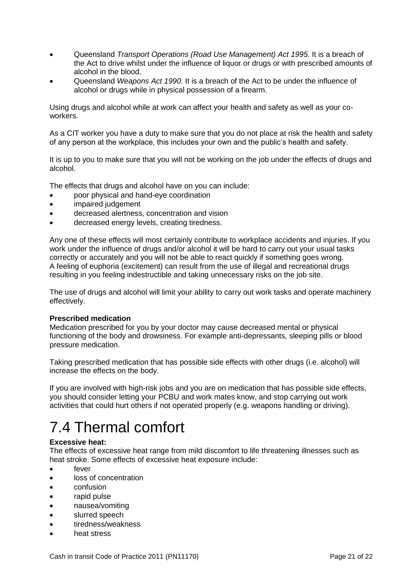- Queensland *Transport Operations (Road Use Management) Act 1995*. It is a breach of the Act to drive whilst under the influence of liquor or drugs or with prescribed amounts of alcohol in the blood.
- Queensland *Weapons Act 1990*. It is a breach of the Act to be under the influence of alcohol or drugs while in physical possession of a firearm.

Using drugs and alcohol while at work can affect your health and safety as well as your coworkers.

As a CIT worker you have a duty to make sure that you do not place at risk the health and safety of any person at the workplace, this includes your own and the public's health and safety.

It is up to you to make sure that you will not be working on the job under the effects of drugs and alcohol.

The effects that drugs and alcohol have on you can include:

- poor physical and hand-eye coordination
- impaired judgement
- decreased alertness, concentration and vision
- decreased energy levels, creating tiredness.

Any one of these effects will most certainly contribute to workplace accidents and injuries. If you work under the influence of drugs and/or alcohol it will be hard to carry out your usual tasks correctly or accurately and you will not be able to react quickly if something goes wrong. A feeling of euphoria (excitement) can result from the use of illegal and recreational drugs resulting in you feeling indestructible and taking unnecessary risks on the job site.

The use of drugs and alcohol will limit your ability to carry out work tasks and operate machinery effectively.

#### **Prescribed medication**

Medication prescribed for you by your doctor may cause decreased mental or physical functioning of the body and drowsiness. For example anti-depressants, sleeping pills or blood pressure medication.

Taking prescribed medication that has possible side effects with other drugs (i.e. alcohol) will increase the effects on the body.

If you are involved with high-risk jobs and you are on medication that has possible side effects, you should consider letting your PCBU and work mates know, and stop carrying out work activities that could hurt others if not operated properly (e.g. weapons handling or driving).

# <span id="page-20-0"></span>7.4 Thermal comfort

## **Excessive heat:**

The effects of excessive heat range from mild discomfort to life threatening illnesses such as heat stroke. Some effects of excessive heat exposure include:

- **e** fever
- loss of concentration
- confusion
- rapid pulse
- nausea/vomiting
- slurred speech
- tiredness/weakness
- heat stress